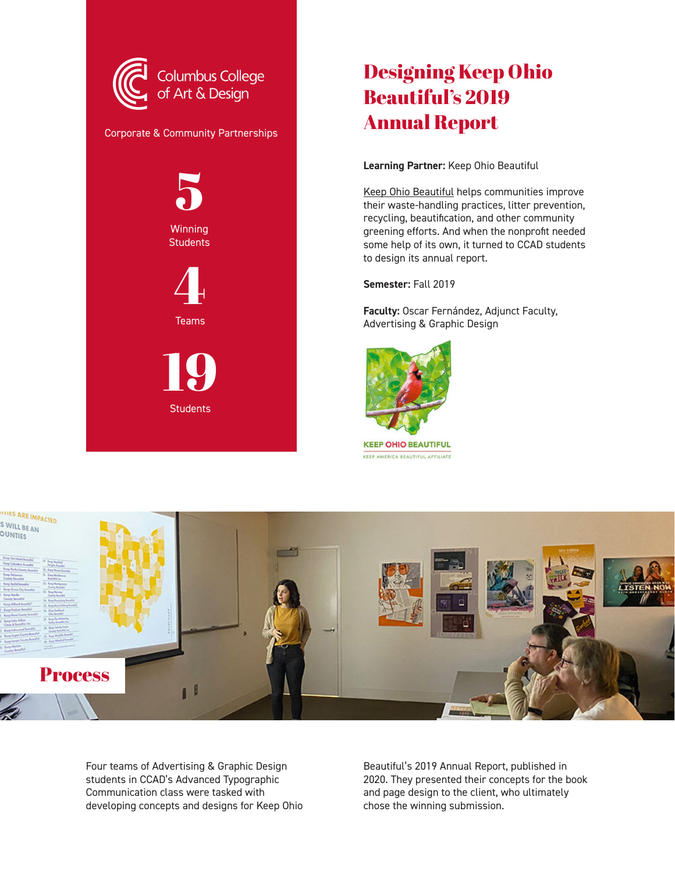

## Designing Keep Ohio Beautiful's 2019 Annual Report

**Learning Partner:** Keep Ohio Beautiful

[Keep Ohio Beautiful](https://keepohiobeautiful.org/) helps communities improve their waste-handling practices, litter prevention, recycling, beautification, and other community greening efforts. And when the nonprofit needed some help of its own, it turned to CCAD students to design its annual report.

**Semester:** Fall 2019

**Faculty:** Oscar Fernández, Adjunct Faculty, Advertising & Graphic Design



**THES ARE IMPACTED** S WILL BE AN **OUNTIES Process** 16

Four teams of Advertising & Graphic Design students in CCAD's Advanced Typographic Communication class were tasked with developing concepts and designs for Keep Ohio

Beautiful's 2019 Annual Report, published in 2020. They presented their concepts for the book and page design to the client, who ultimately chose the winning submission.